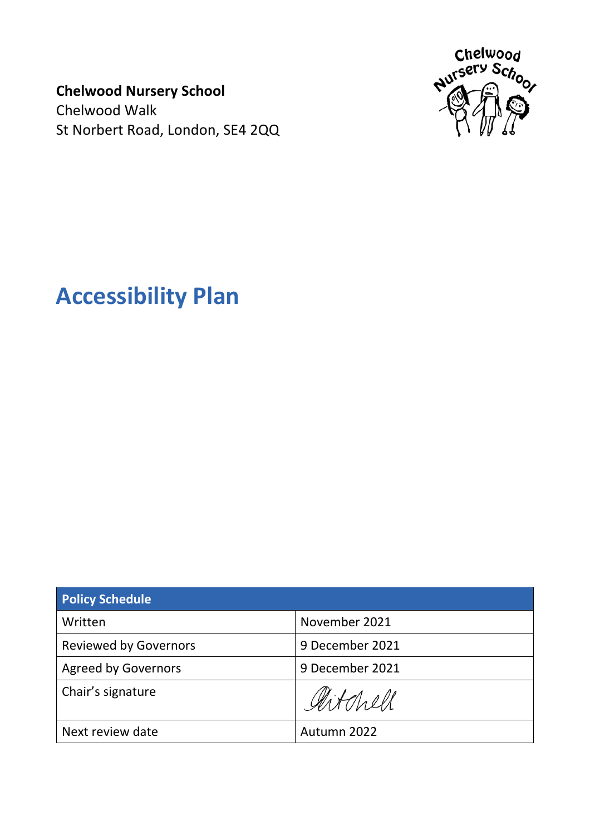**Chelwood Nursery School** Chelwood Walk St Norbert Road, London, SE4 2QQ



# **Accessibility Plan**

| <b>Policy Schedule</b>       |                 |
|------------------------------|-----------------|
| Written                      | November 2021   |
| <b>Reviewed by Governors</b> | 9 December 2021 |
| <b>Agreed by Governors</b>   | 9 December 2021 |
| Chair's signature            | Artchell        |
| Next review date             | Autumn 2022     |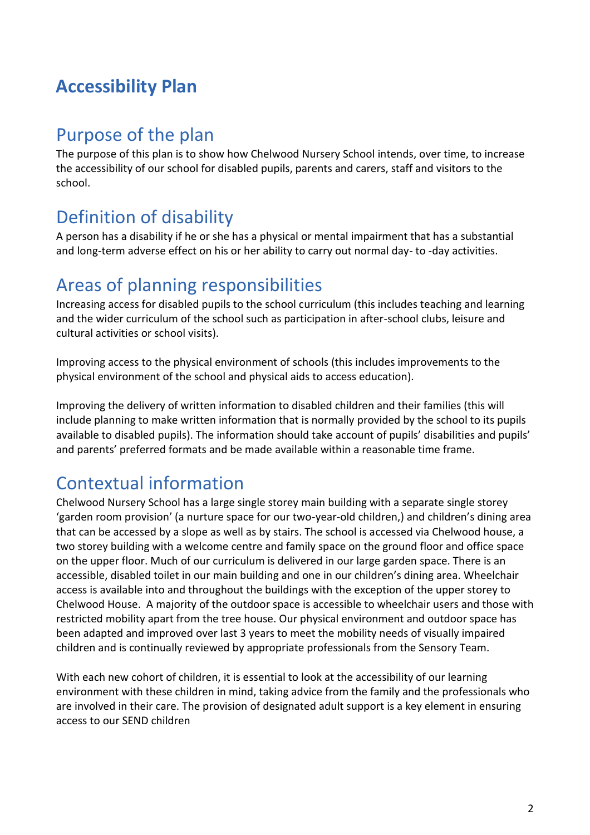#### **Accessibility Plan**

#### Purpose of the plan

The purpose of this plan is to show how Chelwood Nursery School intends, over time, to increase the accessibility of our school for disabled pupils, parents and carers, staff and visitors to the school.

#### Definition of disability

A person has a disability if he or she has a physical or mental impairment that has a substantial and long-term adverse effect on his or her ability to carry out normal day- to -day activities.

#### Areas of planning responsibilities

Increasing access for disabled pupils to the school curriculum (this includes teaching and learning and the wider curriculum of the school such as participation in after-school clubs, leisure and cultural activities or school visits).

Improving access to the physical environment of schools (this includes improvements to the physical environment of the school and physical aids to access education).

Improving the delivery of written information to disabled children and their families (this will include planning to make written information that is normally provided by the school to its pupils available to disabled pupils). The information should take account of pupils' disabilities and pupils' and parents' preferred formats and be made available within a reasonable time frame.

### Contextual information

Chelwood Nursery School has a large single storey main building with a separate single storey 'garden room provision' (a nurture space for our two-year-old children,) and children's dining area that can be accessed by a slope as well as by stairs. The school is accessed via Chelwood house, a two storey building with a welcome centre and family space on the ground floor and office space on the upper floor. Much of our curriculum is delivered in our large garden space. There is an accessible, disabled toilet in our main building and one in our children's dining area. Wheelchair access is available into and throughout the buildings with the exception of the upper storey to Chelwood House. A majority of the outdoor space is accessible to wheelchair users and those with restricted mobility apart from the tree house. Our physical environment and outdoor space has been adapted and improved over last 3 years to meet the mobility needs of visually impaired children and is continually reviewed by appropriate professionals from the Sensory Team.

With each new cohort of children, it is essential to look at the accessibility of our learning environment with these children in mind, taking advice from the family and the professionals who are involved in their care. The provision of designated adult support is a key element in ensuring access to our SEND children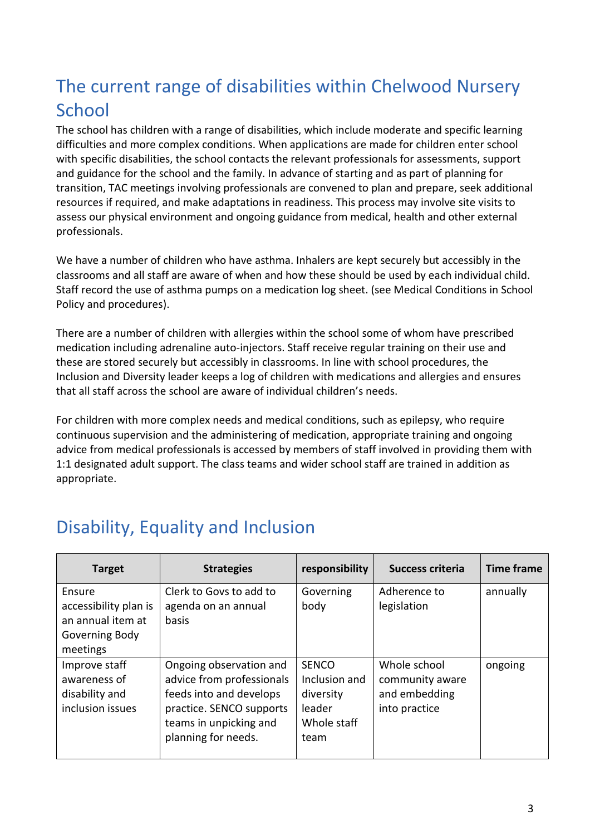#### The current range of disabilities within Chelwood Nursery **School**

The school has children with a range of disabilities, which include moderate and specific learning difficulties and more complex conditions. When applications are made for children enter school with specific disabilities, the school contacts the relevant professionals for assessments, support and guidance for the school and the family. In advance of starting and as part of planning for transition, TAC meetings involving professionals are convened to plan and prepare, seek additional resources if required, and make adaptations in readiness. This process may involve site visits to assess our physical environment and ongoing guidance from medical, health and other external professionals.

We have a number of children who have asthma. Inhalers are kept securely but accessibly in the classrooms and all staff are aware of when and how these should be used by each individual child. Staff record the use of asthma pumps on a medication log sheet. (see Medical Conditions in School Policy and procedures).

There are a number of children with allergies within the school some of whom have prescribed medication including adrenaline auto-injectors. Staff receive regular training on their use and these are stored securely but accessibly in classrooms. In line with school procedures, the Inclusion and Diversity leader keeps a log of children with medications and allergies and ensures that all staff across the school are aware of individual children's needs.

For children with more complex needs and medical conditions, such as epilepsy, who require continuous supervision and the administering of medication, appropriate training and ongoing advice from medical professionals is accessed by members of staff involved in providing them with 1:1 designated adult support. The class teams and wider school staff are trained in addition as appropriate.

#### Disability, Equality and Inclusion

| <b>Target</b>                                                                      | <b>Strategies</b>                                                                                                                                            | responsibility                                                              | <b>Success criteria</b>                                           | <b>Time frame</b> |
|------------------------------------------------------------------------------------|--------------------------------------------------------------------------------------------------------------------------------------------------------------|-----------------------------------------------------------------------------|-------------------------------------------------------------------|-------------------|
| Ensure<br>accessibility plan is<br>an annual item at<br>Governing Body<br>meetings | Clerk to Govs to add to<br>agenda on an annual<br>basis                                                                                                      | Governing<br>body                                                           | Adherence to<br>legislation                                       | annually          |
| Improve staff<br>awareness of<br>disability and<br>inclusion issues                | Ongoing observation and<br>advice from professionals<br>feeds into and develops<br>practice. SENCO supports<br>teams in unpicking and<br>planning for needs. | <b>SENCO</b><br>Inclusion and<br>diversity<br>leader<br>Whole staff<br>team | Whole school<br>community aware<br>and embedding<br>into practice | ongoing           |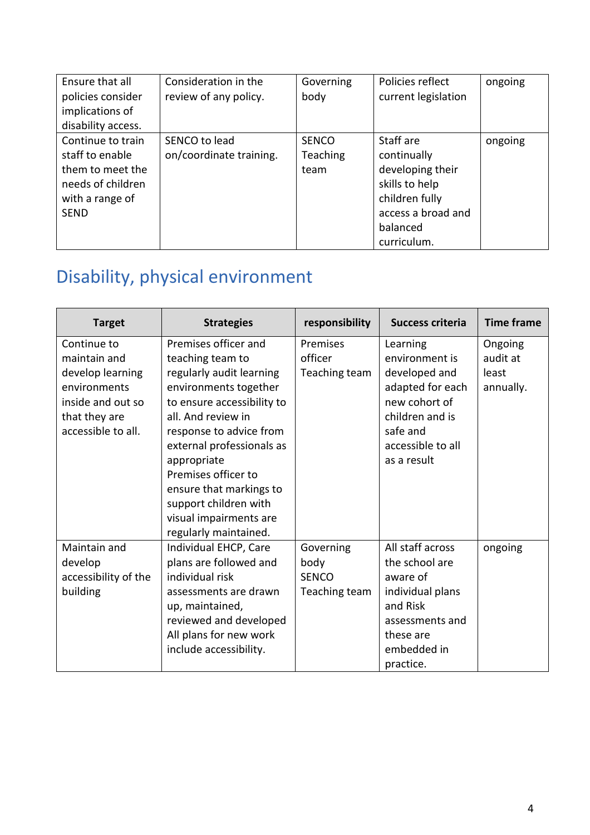| Ensure that all<br>policies consider<br>implications of<br>disability access.                                   | Consideration in the<br>review of any policy. | Governing<br>body                       | Policies reflect<br>current legislation                                                                                           | ongoing |
|-----------------------------------------------------------------------------------------------------------------|-----------------------------------------------|-----------------------------------------|-----------------------------------------------------------------------------------------------------------------------------------|---------|
| Continue to train<br>staff to enable<br>them to meet the<br>needs of children<br>with a range of<br><b>SEND</b> | SENCO to lead<br>on/coordinate training.      | <b>SENCO</b><br><b>Teaching</b><br>team | Staff are<br>continually<br>developing their<br>skills to help<br>children fully<br>access a broad and<br>balanced<br>curriculum. | ongoing |

# Disability, physical environment

| <b>Target</b>        | <b>Strategies</b>          | responsibility | <b>Success criteria</b> | <b>Time frame</b> |
|----------------------|----------------------------|----------------|-------------------------|-------------------|
| Continue to          | Premises officer and       | Premises       | Learning                | Ongoing           |
| maintain and         | teaching team to           | officer        | environment is          | audit at          |
| develop learning     | regularly audit learning   | Teaching team  | developed and           | least             |
| environments         | environments together      |                | adapted for each        | annually.         |
| inside and out so    | to ensure accessibility to |                | new cohort of           |                   |
| that they are        | all. And review in         |                | children and is         |                   |
| accessible to all.   | response to advice from    |                | safe and                |                   |
|                      | external professionals as  |                | accessible to all       |                   |
|                      | appropriate                |                | as a result             |                   |
|                      | Premises officer to        |                |                         |                   |
|                      | ensure that markings to    |                |                         |                   |
|                      | support children with      |                |                         |                   |
|                      | visual impairments are     |                |                         |                   |
|                      | regularly maintained.      |                |                         |                   |
| Maintain and         | Individual EHCP, Care      | Governing      | All staff across        | ongoing           |
| develop              | plans are followed and     | body           | the school are          |                   |
| accessibility of the | individual risk            | <b>SENCO</b>   | aware of                |                   |
| building             | assessments are drawn      | Teaching team  | individual plans        |                   |
|                      | up, maintained,            |                | and Risk                |                   |
|                      | reviewed and developed     |                | assessments and         |                   |
|                      | All plans for new work     |                | these are               |                   |
|                      | include accessibility.     |                | embedded in             |                   |
|                      |                            |                | practice.               |                   |